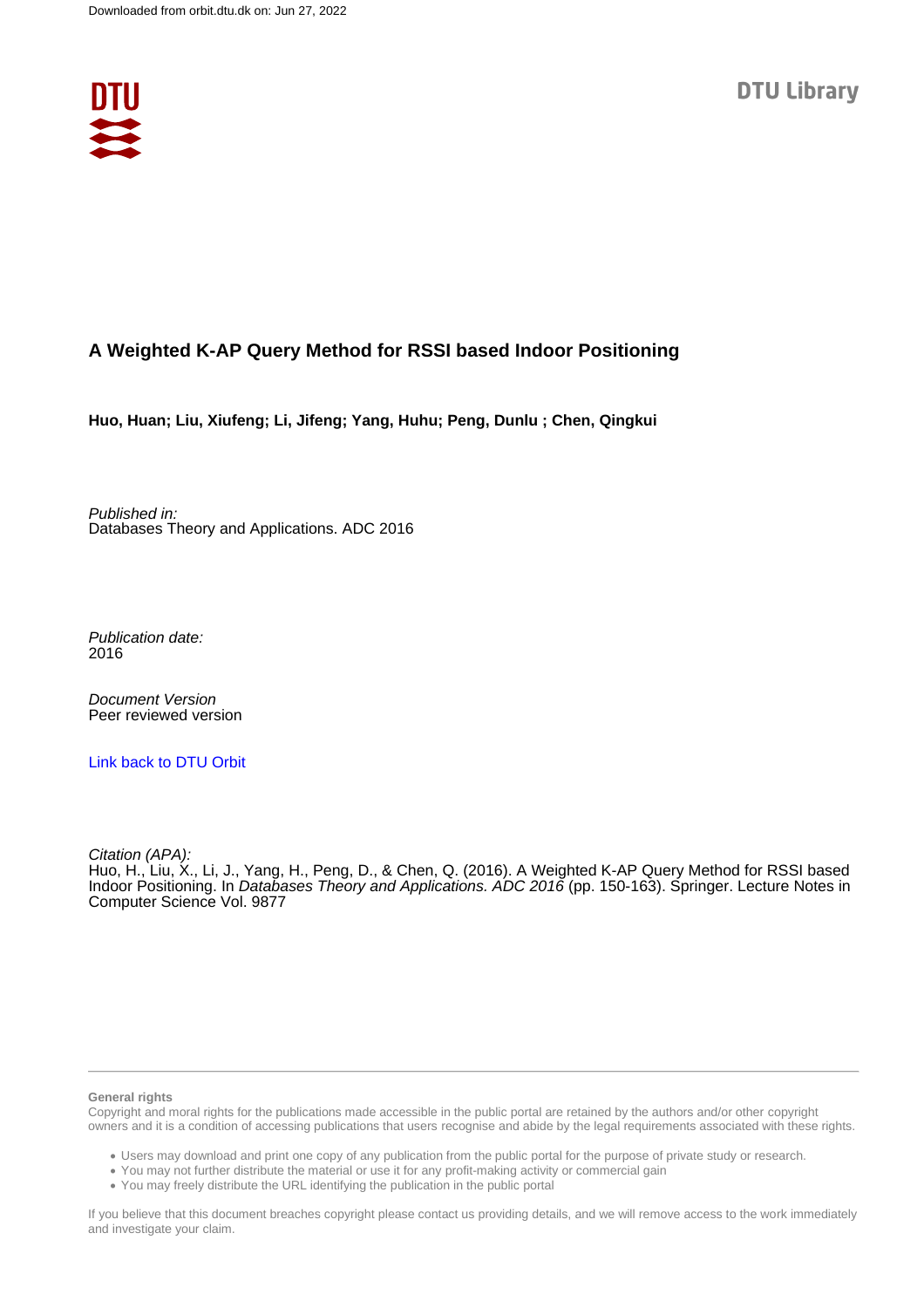

# **A Weighted K-AP Query Method for RSSI based Indoor Positioning**

**Huo, Huan; Liu, Xiufeng; Li, Jifeng; Yang, Huhu; Peng, Dunlu ; Chen, Qingkui**

Published in: Databases Theory and Applications. ADC 2016

Publication date: 2016

Document Version Peer reviewed version

[Link back to DTU Orbit](https://orbit.dtu.dk/en/publications/9fd927ab-23fe-4247-baf7-48467d5117db)

Citation (APA): Huo, H., Liu, X., Li, J., Yang, H., Peng, D., & Chen, Q. (2016). A Weighted K-AP Query Method for RSSI based Indoor Positioning. In Databases Theory and Applications. ADC 2016 (pp. 150-163). Springer. Lecture Notes in Computer Science Vol. 9877

#### **General rights**

Copyright and moral rights for the publications made accessible in the public portal are retained by the authors and/or other copyright owners and it is a condition of accessing publications that users recognise and abide by the legal requirements associated with these rights.

Users may download and print one copy of any publication from the public portal for the purpose of private study or research.

- You may not further distribute the material or use it for any profit-making activity or commercial gain
- You may freely distribute the URL identifying the publication in the public portal

If you believe that this document breaches copyright please contact us providing details, and we will remove access to the work immediately and investigate your claim.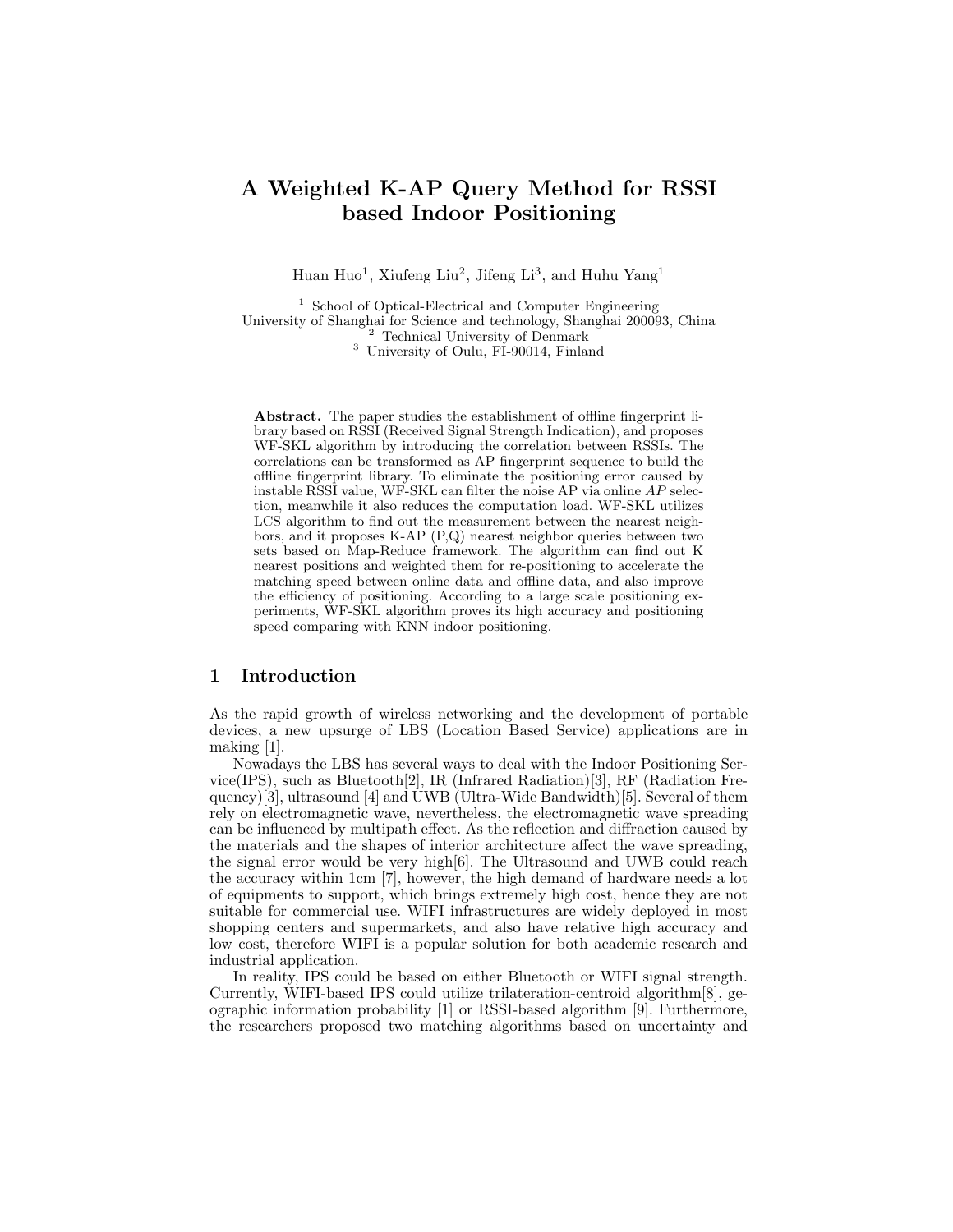# A Weighted K-AP Query Method for RSSI based Indoor Positioning

Huan Huo<sup>1</sup>, Xiufeng Liu<sup>2</sup>, Jifeng Li<sup>3</sup>, and Huhu Yang<sup>1</sup>

 School of Optical-Electrical and Computer Engineering University of Shanghai for Science and technology, Shanghai 200093, China Technical University of Denmark University of Oulu, FI-90014, Finland

Abstract. The paper studies the establishment of offline fingerprint library based on RSSI (Received Signal Strength Indication), and proposes WF-SKL algorithm by introducing the correlation between RSSIs. The correlations can be transformed as AP fingerprint sequence to build the offline fingerprint library. To eliminate the positioning error caused by instable RSSI value, WF-SKL can filter the noise AP via online AP selection, meanwhile it also reduces the computation load. WF-SKL utilizes LCS algorithm to find out the measurement between the nearest neighbors, and it proposes K-AP (P,Q) nearest neighbor queries between two sets based on Map-Reduce framework. The algorithm can find out K nearest positions and weighted them for re-positioning to accelerate the matching speed between online data and offline data, and also improve the efficiency of positioning. According to a large scale positioning experiments, WF-SKL algorithm proves its high accuracy and positioning speed comparing with KNN indoor positioning.

# 1 Introduction

As the rapid growth of wireless networking and the development of portable devices, a new upsurge of LBS (Location Based Service) applications are in making [1].

Nowadays the LBS has several ways to deal with the Indoor Positioning Service(IPS), such as Bluetooth<sup>[2]</sup>, IR (Infrared Radiation)[3], RF (Radiation Frequency)[3], ultrasound [4] and UWB (Ultra-Wide Bandwidth)[5]. Several of them rely on electromagnetic wave, nevertheless, the electromagnetic wave spreading can be influenced by multipath effect. As the reflection and diffraction caused by the materials and the shapes of interior architecture affect the wave spreading, the signal error would be very high[6]. The Ultrasound and UWB could reach the accuracy within 1cm [7], however, the high demand of hardware needs a lot of equipments to support, which brings extremely high cost, hence they are not suitable for commercial use. WIFI infrastructures are widely deployed in most shopping centers and supermarkets, and also have relative high accuracy and low cost, therefore WIFI is a popular solution for both academic research and industrial application.

In reality, IPS could be based on either Bluetooth or WIFI signal strength. Currently, WIFI-based IPS could utilize trilateration-centroid algorithm[8], geographic information probability [1] or RSSI-based algorithm [9]. Furthermore, the researchers proposed two matching algorithms based on uncertainty and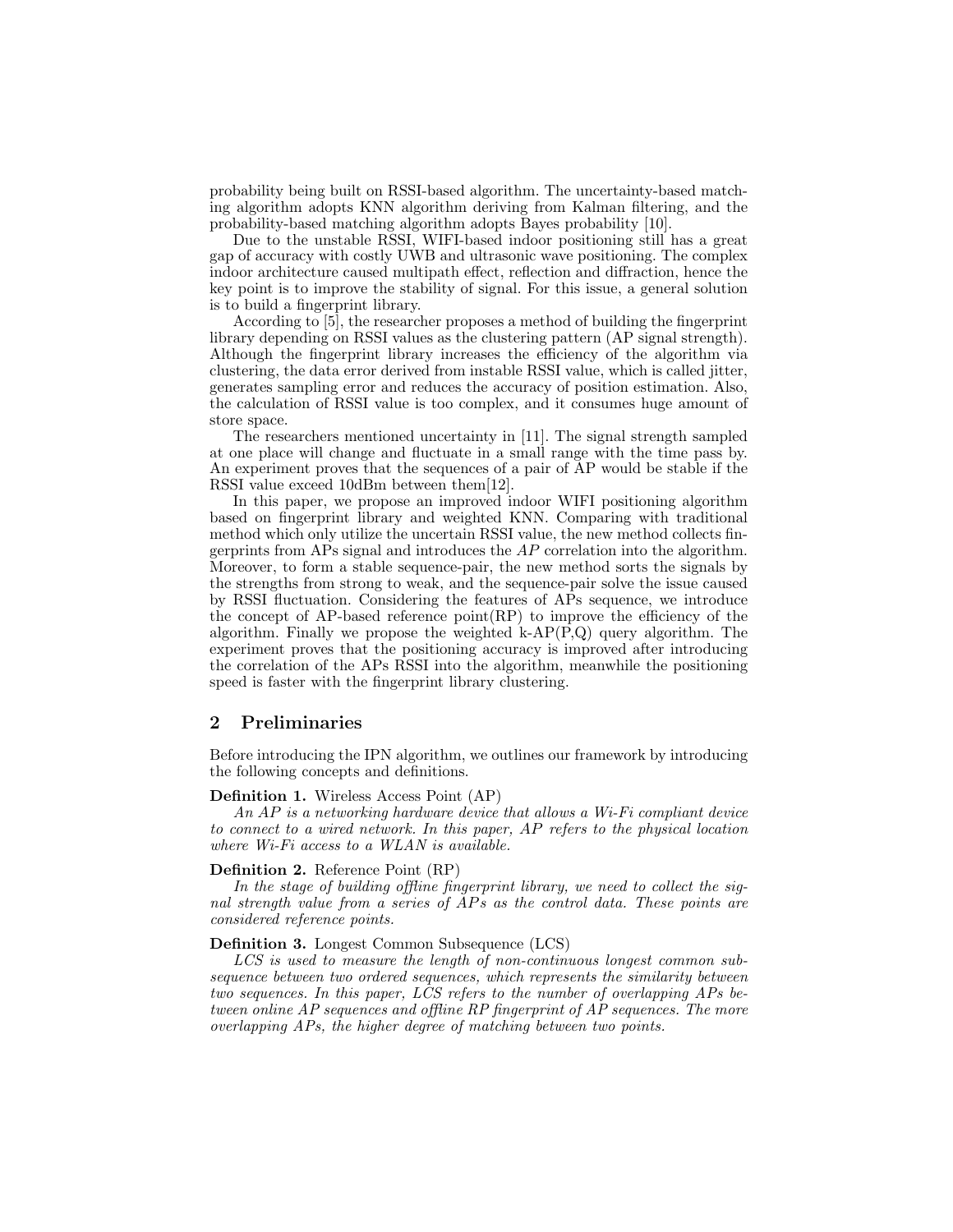probability being built on RSSI-based algorithm. The uncertainty-based matching algorithm adopts KNN algorithm deriving from Kalman filtering, and the probability-based matching algorithm adopts Bayes probability [10].

Due to the unstable RSSI, WIFI-based indoor positioning still has a great gap of accuracy with costly UWB and ultrasonic wave positioning. The complex indoor architecture caused multipath effect, reflection and diffraction, hence the key point is to improve the stability of signal. For this issue, a general solution is to build a fingerprint library.

According to [5], the researcher proposes a method of building the fingerprint library depending on RSSI values as the clustering pattern (AP signal strength). Although the fingerprint library increases the efficiency of the algorithm via clustering, the data error derived from instable RSSI value, which is called jitter, generates sampling error and reduces the accuracy of position estimation. Also, the calculation of RSSI value is too complex, and it consumes huge amount of store space.

The researchers mentioned uncertainty in [11]. The signal strength sampled at one place will change and fluctuate in a small range with the time pass by. An experiment proves that the sequences of a pair of AP would be stable if the RSSI value exceed 10dBm between them[12].

In this paper, we propose an improved indoor WIFI positioning algorithm based on fingerprint library and weighted KNN. Comparing with traditional method which only utilize the uncertain RSSI value, the new method collects fingerprints from APs signal and introduces the  $AP$  correlation into the algorithm. Moreover, to form a stable sequence-pair, the new method sorts the signals by the strengths from strong to weak, and the sequence-pair solve the issue caused by RSSI fluctuation. Considering the features of APs sequence, we introduce the concept of AP-based reference point(RP) to improve the efficiency of the algorithm. Finally we propose the weighted  $k-AP(P,Q)$  query algorithm. The experiment proves that the positioning accuracy is improved after introducing the correlation of the APs RSSI into the algorithm, meanwhile the positioning speed is faster with the fingerprint library clustering.

## 2 Preliminaries

Before introducing the IPN algorithm, we outlines our framework by introducing the following concepts and definitions.

#### Definition 1. Wireless Access Point (AP)

An AP is a networking hardware device that allows a Wi-Fi compliant device to connect to a wired network. In this paper, AP refers to the physical location where Wi-Fi access to a WLAN is available.

#### Definition 2. Reference Point (RP)

In the stage of building offline fingerprint library, we need to collect the signal strength value from a series of APs as the control data. These points are considered reference points.

## Definition 3. Longest Common Subsequence (LCS)

LCS is used to measure the length of non-continuous longest common subsequence between two ordered sequences, which represents the similarity between two sequences. In this paper, LCS refers to the number of overlapping APs between online AP sequences and offline RP fingerprint of AP sequences. The more overlapping APs, the higher degree of matching between two points.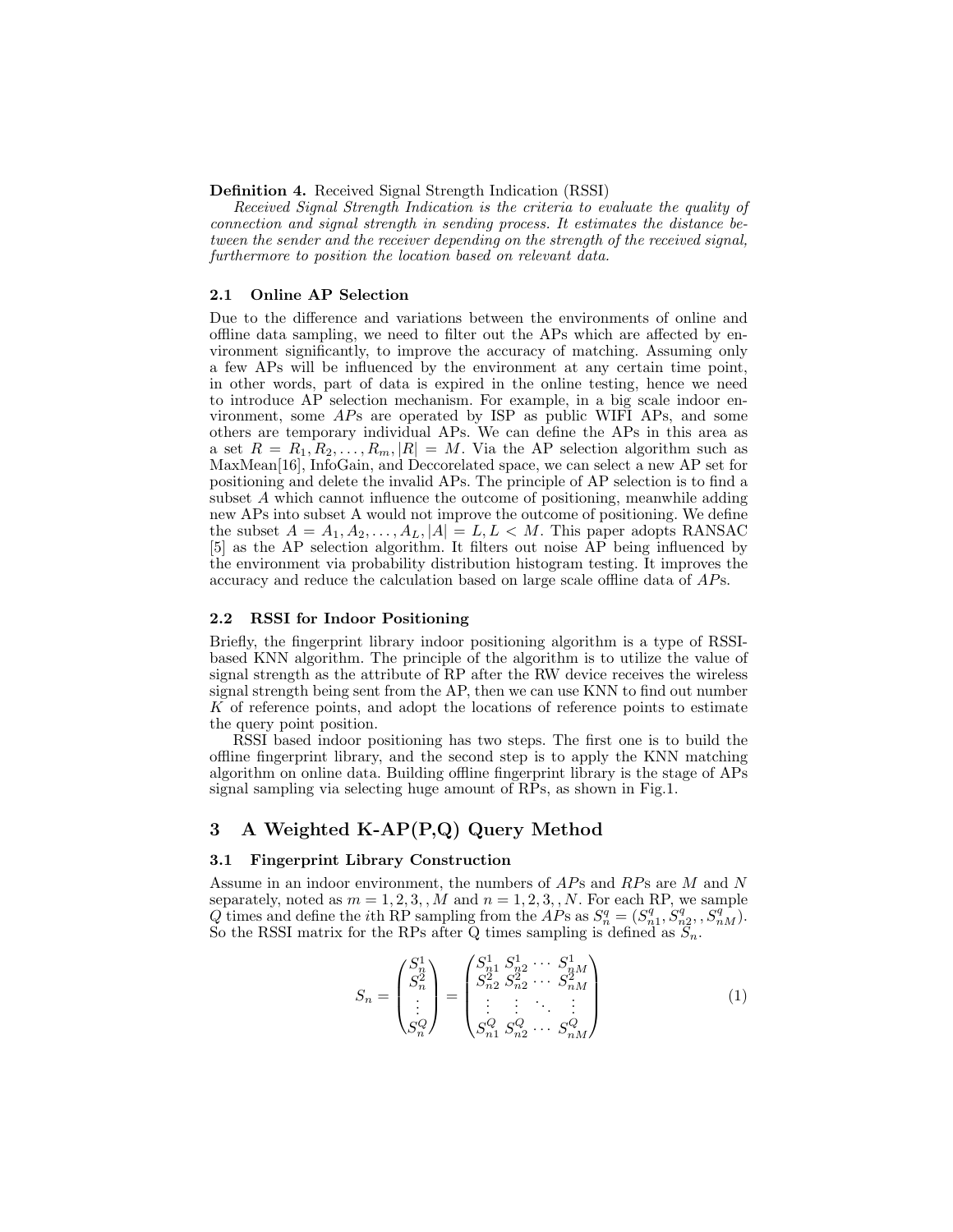Definition 4. Received Signal Strength Indication (RSSI)

Received Signal Strength Indication is the criteria to evaluate the quality of connection and signal strength in sending process. It estimates the distance between the sender and the receiver depending on the strength of the received signal, furthermore to position the location based on relevant data.

#### 2.1 Online AP Selection

Due to the difference and variations between the environments of online and offline data sampling, we need to filter out the APs which are affected by environment significantly, to improve the accuracy of matching. Assuming only a few APs will be influenced by the environment at any certain time point, in other words, part of data is expired in the online testing, hence we need to introduce AP selection mechanism. For example, in a big scale indoor environment, some APs are operated by ISP as public WIFI APs, and some others are temporary individual APs. We can define the APs in this area as a set  $R = R_1, R_2, \ldots, R_m, |R| = M$ . Via the AP selection algorithm such as MaxMean[16], InfoGain, and Deccorelated space, we can select a new AP set for positioning and delete the invalid APs. The principle of AP selection is to find a subset A which cannot influence the outcome of positioning, meanwhile adding new APs into subset A would not improve the outcome of positioning. We define the subset  $A = A_1, A_2, \ldots, A_L, |A| = L, L < M$ . This paper adopts RANSAC [5] as the AP selection algorithm. It filters out noise AP being influenced by the environment via probability distribution histogram testing. It improves the accuracy and reduce the calculation based on large scale offline data of APs.

#### 2.2 RSSI for Indoor Positioning

Briefly, the fingerprint library indoor positioning algorithm is a type of RSSIbased KNN algorithm. The principle of the algorithm is to utilize the value of signal strength as the attribute of RP after the RW device receives the wireless signal strength being sent from the AP, then we can use KNN to find out number K of reference points, and adopt the locations of reference points to estimate the query point position.

RSSI based indoor positioning has two steps. The first one is to build the offline fingerprint library, and the second step is to apply the KNN matching algorithm on online data. Building offline fingerprint library is the stage of APs signal sampling via selecting huge amount of RPs, as shown in Fig.1.

# 3 A Weighted K-AP(P,Q) Query Method

#### 3.1 Fingerprint Library Construction

Assume in an indoor environment, the numbers of APs and RPs are M and N separately, noted as  $m = 1, 2, 3, M$  and  $n = 1, 2, 3, N$ . For each RP, we sample Q times and define the *i*th RP sampling from the  $AP$ s as  $S_n^q = (S_{n_1}^q, S_{n_2}^q, S_{nM}^q)$ . So the RSSI matrix for the RPs after Q times sampling is defined as  $S_n$ .

$$
S_n = \begin{pmatrix} S_n^1 \\ S_n^2 \\ \vdots \\ S_n^Q \end{pmatrix} = \begin{pmatrix} S_{n1}^1 & S_{n2}^1 & \cdots & S_{nM}^1 \\ S_{n2}^2 & S_{n2}^2 & \cdots & S_{nM}^2 \\ \vdots & \vdots & \ddots & \vdots \\ S_n^Q & S_{n2}^Q & \cdots & S_{nM}^Q \end{pmatrix} \tag{1}
$$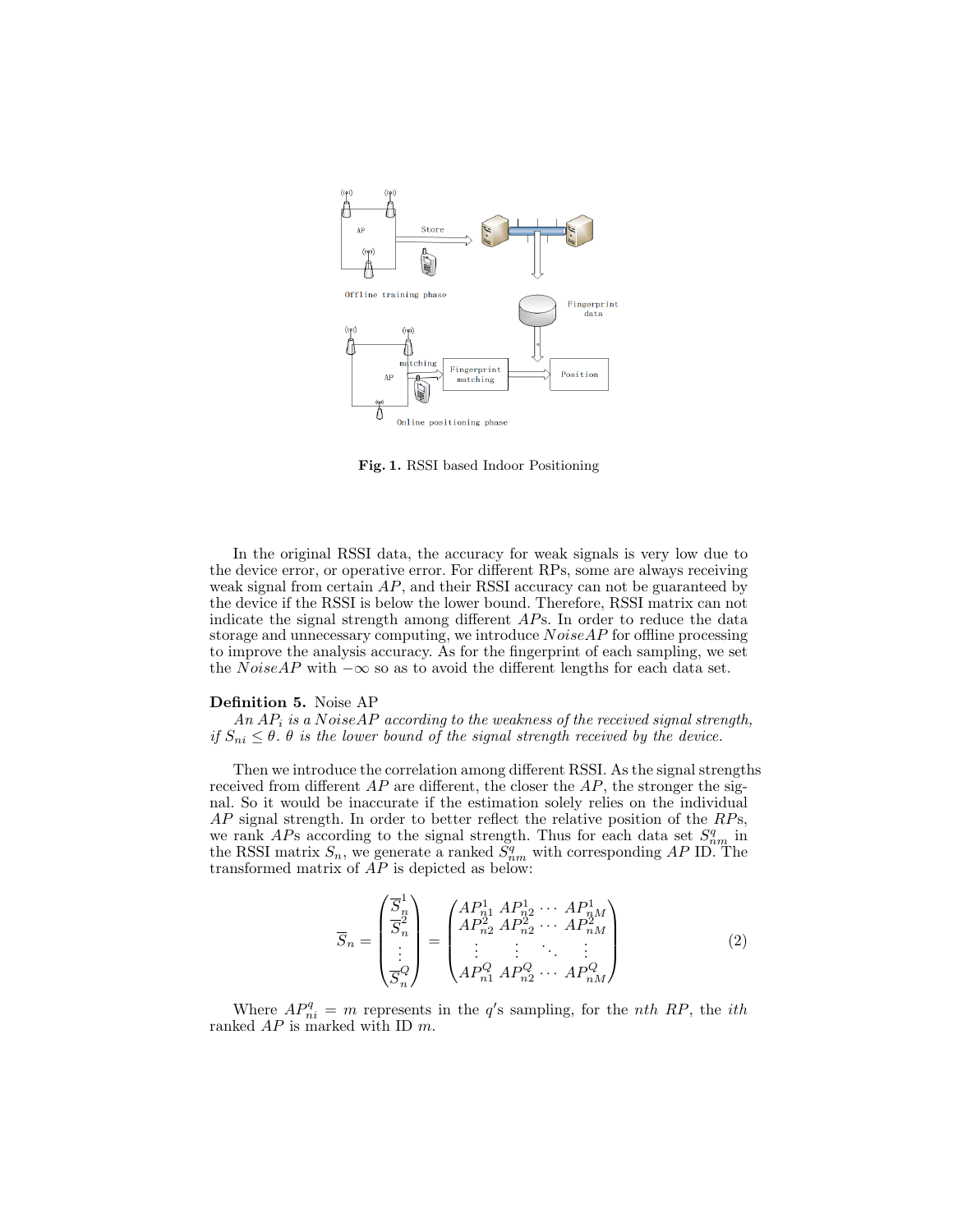

Fig. 1. RSSI based Indoor Positioning

In the original RSSI data, the accuracy for weak signals is very low due to the device error, or operative error. For different RPs, some are always receiving weak signal from certain  $AP$ , and their RSSI accuracy can not be guaranteed by the device if the RSSI is below the lower bound. Therefore, RSSI matrix can not indicate the signal strength among different APs. In order to reduce the data storage and unnecessary computing, we introduce  $NoiseAP$  for offline processing to improve the analysis accuracy. As for the fingerprint of each sampling, we set the NoiseAP with  $-\infty$  so as to avoid the different lengths for each data set.

## Definition 5. Noise AP

An  $AP_i$  is a NoiseAP according to the weakness of the received signal strength, if  $S_{ni} \leq \theta$ .  $\theta$  is the lower bound of the signal strength received by the device.

Then we introduce the correlation among different RSSI. As the signal strengths received from different  $AP$  are different, the closer the  $AP$ , the stronger the signal. So it would be inaccurate if the estimation solely relies on the individual  $AP$  signal strength. In order to better reflect the relative position of the  $RPs$ , we rank APs according to the signal strength. Thus for each data set  $S_{nm}^q$  in the RSSI matrix  $S_n$ , we generate a ranked  $\tilde{S}_{nm}^q$  with corresponding AP ID. The transformed matrix of AP is depicted as below:

$$
\overline{S}_n = \begin{pmatrix} \overline{S}_n^1 \\ \overline{S}_n^2 \\ \vdots \\ \overline{S}_n^Q \end{pmatrix} = \begin{pmatrix} AP_{n1}^1 & AP_{n2}^1 & \cdots & AP_{nM}^1 \\ AP_{n2}^2 & AP_{n2}^2 & \cdots & AP_{nM}^2 \\ \vdots & \vdots & \ddots & \vdots \\ AP_{n1}^Q & AP_{n2}^Q & \cdots & AP_{nM}^Q \end{pmatrix}
$$
\n(2)

Where  $AP_{ni}^q = m$  represents in the q's sampling, for the nth RP, the ith ranked  $AP$  is marked with ID  $m$ .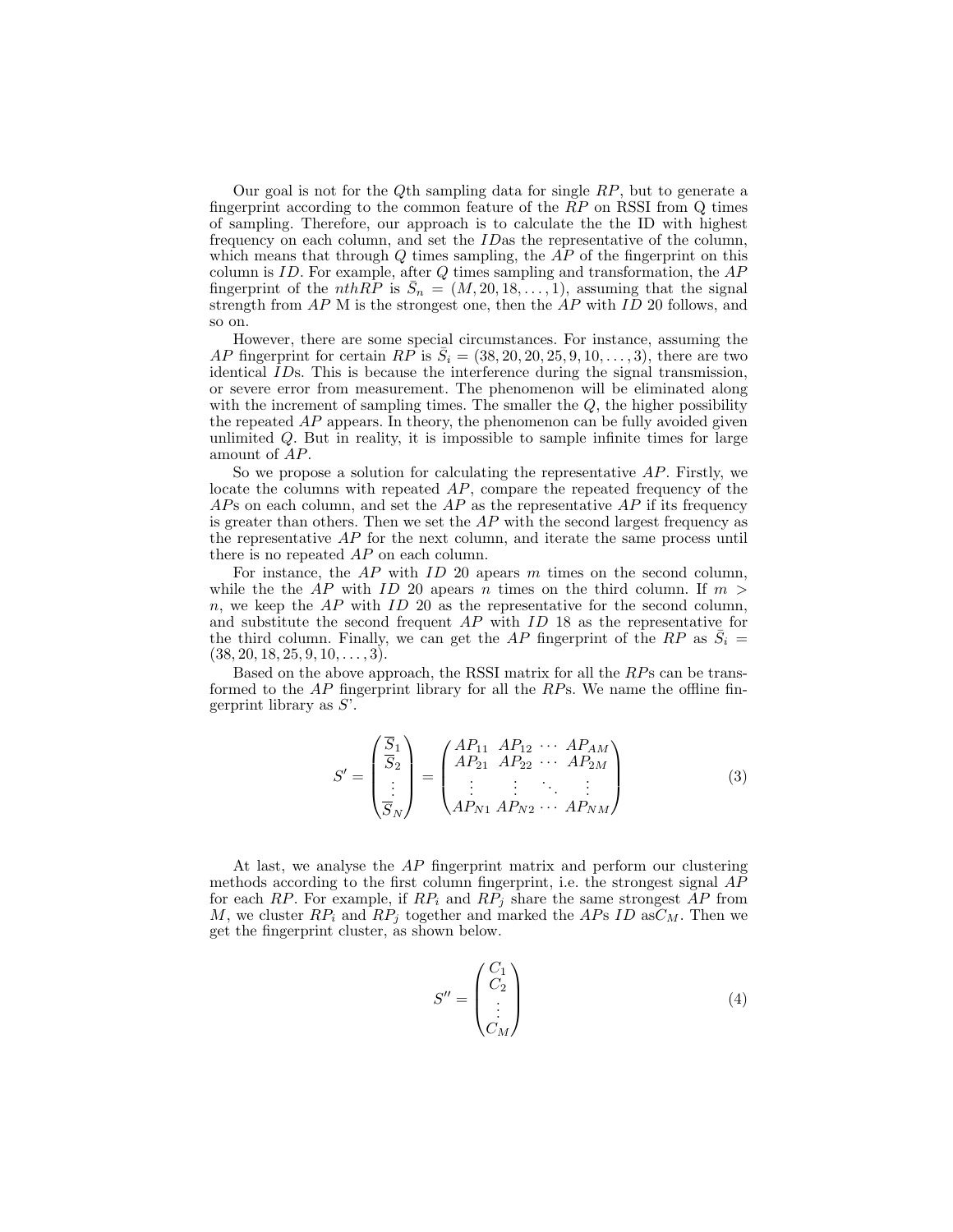Our goal is not for the Qth sampling data for single  $RP$ , but to generate a fingerprint according to the common feature of the  $RP$  on RSSI from  $Q$  times of sampling. Therefore, our approach is to calculate the the ID with highest frequency on each column, and set the IDas the representative of the column, which means that through  $Q$  times sampling, the  $AP$  of the fingerprint on this column is  $ID$ . For example, after  $Q$  times sampling and transformation, the  $AP$ fingerprint of the *nthRP* is  $\overline{S}_n = (M, 20, 18, \ldots, 1)$ , assuming that the signal strength from  $AP$  M is the strongest one, then the  $AP$  with  $ID$  20 follows, and so on.

However, there are some special circumstances. For instance, assuming the AP fingerprint for certain RP is  $\overline{S}_i = (38, 20, 20, 25, 9, 10, \ldots, 3)$ , there are two identical IDs. This is because the interference during the signal transmission, or severe error from measurement. The phenomenon will be eliminated along with the increment of sampling times. The smaller the  $Q$ , the higher possibility the repeated AP appears. In theory, the phenomenon can be fully avoided given unlimited Q. But in reality, it is impossible to sample infinite times for large amount of AP.

So we propose a solution for calculating the representative  $AP$ . Firstly, we locate the columns with repeated AP, compare the repeated frequency of the  $AP$ s on each column, and set the  $AP$  as the representative  $AP$  if its frequency is greater than others. Then we set the  $AP$  with the second largest frequency as the representative AP for the next column, and iterate the same process until there is no repeated AP on each column.

For instance, the  $AP$  with  $ID$  20 apears  $m$  times on the second column, while the the AP with ID 20 apears n times on the third column. If  $m >$  $n$ , we keep the  $AP$  with  $ID$  20 as the representative for the second column, and substitute the second frequent AP with ID 18 as the representative for the third column. Finally, we can get the AP fingerprint of the RP as  $\bar{S}_i$  =  $(38, 20, 18, 25, 9, 10, \ldots, 3).$ 

Based on the above approach, the RSSI matrix for all the RPs can be transformed to the  $AP$  fingerprint library for all the  $RP$ s. We name the offline fingerprint library as  $S'$ .

$$
S' = \begin{pmatrix} \overline{S}_1 \\ \overline{S}_2 \\ \vdots \\ \overline{S}_N \end{pmatrix} = \begin{pmatrix} AP_{11} & AP_{12} & \cdots & AP_{AM} \\ AP_{21} & AP_{22} & \cdots & AP_{2M} \\ \vdots & \vdots & \ddots & \vdots \\ AP_{N1} & AP_{N2} & \cdots & AP_{NM} \end{pmatrix}
$$
(3)

At last, we analyse the AP fingerprint matrix and perform our clustering methods according to the first column fingerprint, i.e. the strongest signal AP for each RP. For example, if  $RP_i$  and  $RP_j$  share the same strongest AP from M, we cluster  $RP_i$  and  $RP_j$  together and marked the APs ID as  $C_M$ . Then we get the fingerprint cluster, as shown below.

$$
S'' = \begin{pmatrix} C_1 \\ C_2 \\ \vdots \\ C_M \end{pmatrix} \tag{4}
$$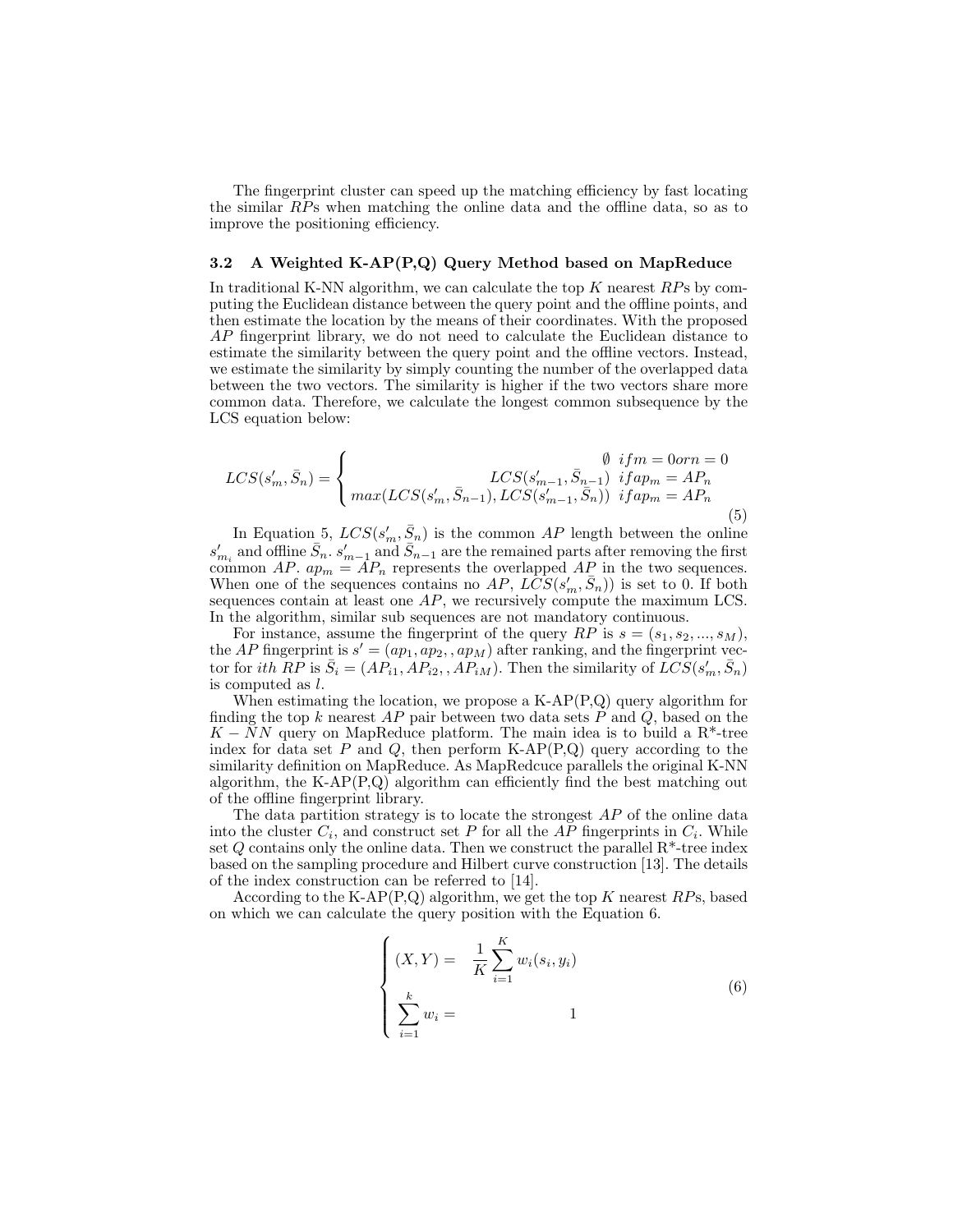The fingerprint cluster can speed up the matching efficiency by fast locating the similar RPs when matching the online data and the offline data, so as to improve the positioning efficiency.

### 3.2 A Weighted K-AP(P,Q) Query Method based on MapReduce

In traditional K-NN algorithm, we can calculate the top  $K$  nearest  $RPs$  by computing the Euclidean distance between the query point and the offline points, and then estimate the location by the means of their coordinates. With the proposed AP fingerprint library, we do not need to calculate the Euclidean distance to estimate the similarity between the query point and the offline vectors. Instead, we estimate the similarity by simply counting the number of the overlapped data between the two vectors. The similarity is higher if the two vectors share more common data. Therefore, we calculate the longest common subsequence by the LCS equation below:

$$
LCS(s'_m, \bar{S}_n) = \begin{cases} \emptyset & if m = 0orn = 0 \\ \max(LCS(s'_m, \bar{S}_{n-1}), LCS(s'_{m-1}, \bar{S}_{n-1}) & if ap_m = AP_n \\ \max(LCS(s'_m, \bar{S}_{n-1}), LCS(s'_{m-1}, \bar{S}_n)) & if ap_m = AP_n \end{cases}
$$
(5)

In Equation 5,  $LCS(s'_m, \bar{S}_n)$  is the common AP length between the online  $s'_{m_i}$  and offline  $\bar{S}_n$ .  $s'_{m-1}$  and  $\bar{S}_{n-1}$  are the remained parts after removing the first common AP.  $ap_m = AP_n$  represents the overlapped AP in the two sequences. When one of the sequences contains no AP,  $LCS(s'_m, \bar{S}_n)$  is set to 0. If both sequences contain at least one  $AP$ , we recursively compute the maximum LCS. In the algorithm, similar sub sequences are not mandatory continuous.

For instance, assume the fingerprint of the query  $RP$  is  $s = (s_1, s_2, ..., s_M)$ , the AP fingerprint is  $s' = (ap_1, ap_2, ap_M)$  after ranking, and the fingerprint vector for *ith*  $RP$  is  $\bar{S}_i = (AP_{i1}, AP_{i2}, AP_{iM})$ . Then the similarity of  $\bar{LCS}(s'_m, \bar{S}_n)$ is computed as l.

When estimating the location, we propose a K-AP(P,Q) query algorithm for finding the top k nearest  $AP$  pair between two data sets  $P$  and  $Q$ , based on the  $K - NN$  query on MapReduce platform. The main idea is to build a R<sup>\*</sup>-tree index for data set P and Q, then perform  $K-AP(P,Q)$  query according to the similarity definition on MapReduce. As MapRedcuce parallels the original K-NN algorithm, the K-AP(P,Q) algorithm can efficiently find the best matching out of the offline fingerprint library.

The data partition strategy is to locate the strongest  $AP$  of the online data into the cluster  $C_i$ , and construct set P for all the AP fingerprints in  $C_i$ . While set  $Q$  contains only the online data. Then we construct the parallel  $R^*$ -tree index based on the sampling procedure and Hilbert curve construction [13]. The details of the index construction can be referred to [14].

According to the K-AP $(P,Q)$  algorithm, we get the top K nearest RPs, based on which we can calculate the query position with the Equation 6.

$$
\begin{cases}\n(X, Y) = \frac{1}{K} \sum_{i=1}^{K} w_i(s_i, y_i) \\
\sum_{i=1}^{k} w_i = 1\n\end{cases}
$$
\n(6)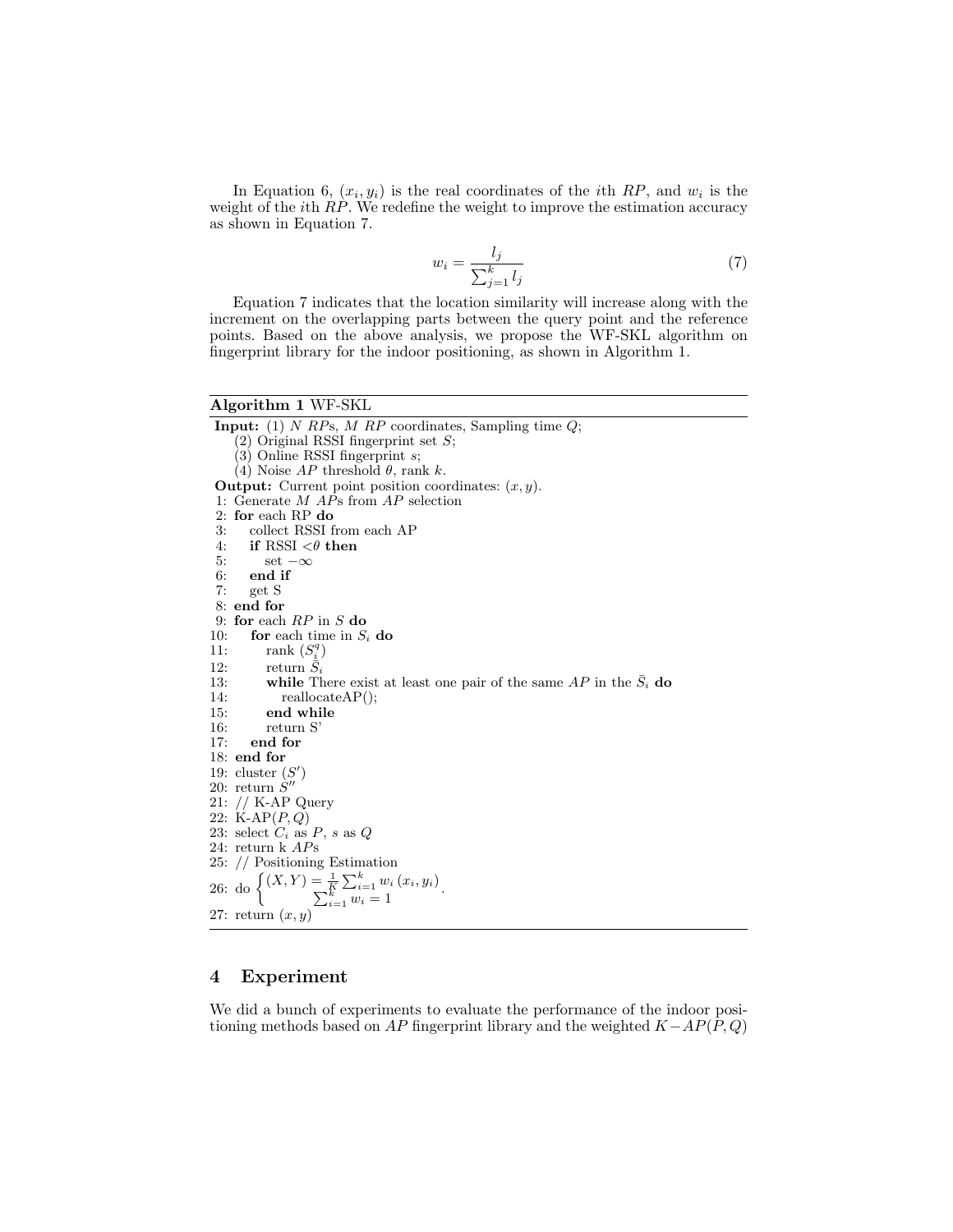In Equation 6,  $(x_i, y_i)$  is the real coordinates of the *i*th RP, and  $w_i$  is the weight of the *i*th RP. We redefine the weight to improve the estimation accuracy as shown in Equation 7.

$$
w_i = \frac{l_j}{\sum_{j=1}^k l_j} \tag{7}
$$

Equation 7 indicates that the location similarity will increase along with the increment on the overlapping parts between the query point and the reference points. Based on the above analysis, we propose the WF-SKL algorithm on fingerprint library for the indoor positioning, as shown in Algorithm 1.

## Algorithm 1 WF-SKL

**Input:** (1) N RPs, M RP coordinates, Sampling time  $Q$ ;  $(2)$  Original RSSI fingerprint set S;  $(3)$  Online RSSI fingerprint s; (4) Noise  $AP$  threshold  $\theta$ , rank k. **Output:** Current point position coordinates:  $(x, y)$ . 1: Generate M APs from AP selection 2: for each RP do 3: collect RSSI from each AP 4: if RSSI  $\langle \theta \rangle$  then 5: set  $-\infty$ <br>6: end if 6: end if<br>7:  $get S$ 7: get S 8: end for 9: for each RP in S do 10: for each time in  $S_i$  do 11: rank  $(S_i^q)$ 12: return  $\bar{S}_i$ <br>13: **while** Tl 13: **while** There exist at least one pair of the same  $AP$  in the  $\bar{S}_i$  **do** reallocate $AP$ );  $reallocateAP($ ); 15: end while 16:  $return S'$ <br>17: **end for** end for 18: end for 19: cluster  $(S')$ 20: return  $\dot{S}^{\prime\prime}$ 21: // K-AP Query 22:  $K-AP(P,Q)$ 23: select  $C_i$  as  $P$ , s as  $Q$ 24: return k APs 25: // Positioning Estimation 26: do  $(X, Y) = \frac{1}{K} \sum_{i=1}^{K} w_i (x_i, y_i)$ <br> $\sum_{i=1}^{K} w_i = 1$ 27: return  $(x, y)$ 

# 4 Experiment

We did a bunch of experiments to evaluate the performance of the indoor positioning methods based on AP fingerprint library and the weighted  $K-AP(P,Q)$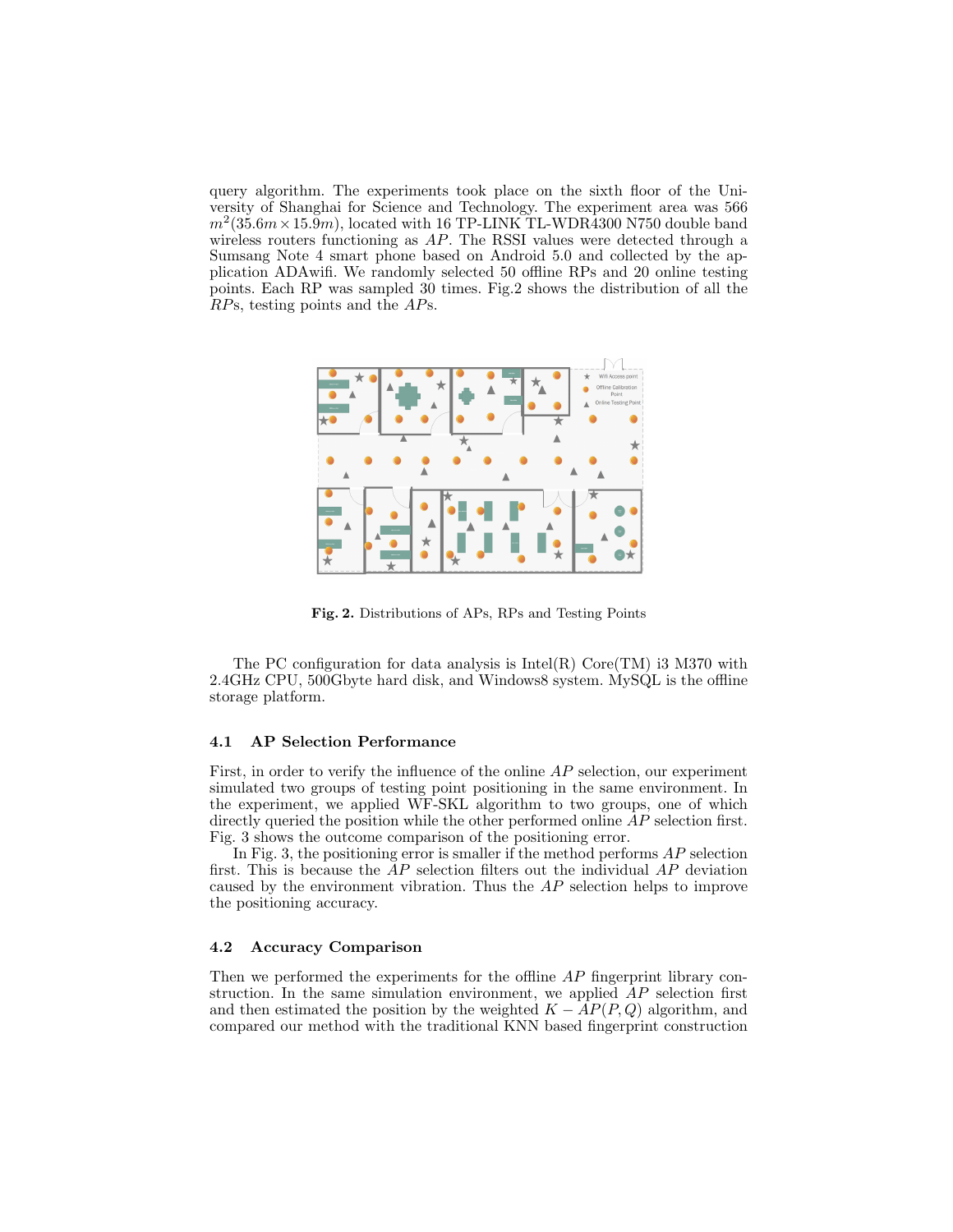query algorithm. The experiments took place on the sixth floor of the University of Shanghai for Science and Technology. The experiment area was 566  $m^2(35.6m \times 15.9m)$ , located with 16 TP-LINK TL-WDR4300 N750 double band wireless routers functioning as AP. The RSSI values were detected through a Sumsang Note 4 smart phone based on Android 5.0 and collected by the application ADAwifi. We randomly selected 50 offline RPs and 20 online testing points. Each RP was sampled 30 times. Fig.2 shows the distribution of all the RPs, testing points and the APs.



Fig. 2. Distributions of APs, RPs and Testing Points

The PC configuration for data analysis is  $Intel(R) Core(TM)$  i3 M370 with 2.4GHz CPU, 500Gbyte hard disk, and Windows8 system. MySQL is the offline storage platform.

#### 4.1 AP Selection Performance

First, in order to verify the influence of the online AP selection, our experiment simulated two groups of testing point positioning in the same environment. In the experiment, we applied WF-SKL algorithm to two groups, one of which directly queried the position while the other performed online  $AP$  selection first. Fig. 3 shows the outcome comparison of the positioning error.

In Fig. 3, the positioning error is smaller if the method performs  $AP$  selection first. This is because the  $AP$  selection filters out the individual  $AP$  deviation caused by the environment vibration. Thus the AP selection helps to improve the positioning accuracy.

## 4.2 Accuracy Comparison

Then we performed the experiments for the offline AP fingerprint library construction. In the same simulation environment, we applied  $AP$  selection first and then estimated the position by the weighted  $K - AP(P, Q)$  algorithm, and compared our method with the traditional KNN based fingerprint construction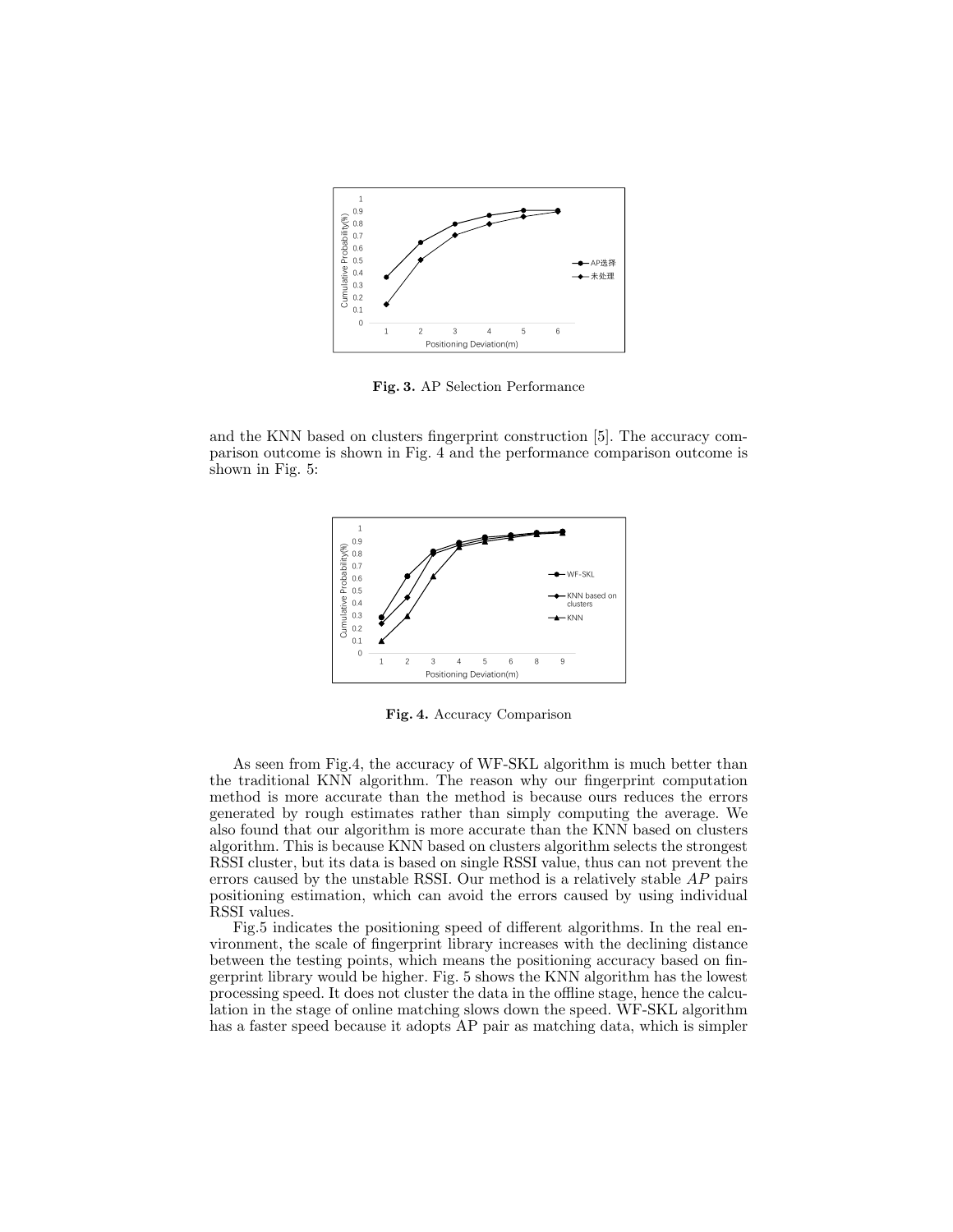

Fig. 3. AP Selection Performance

and the KNN based on clusters fingerprint construction [5]. The accuracy comparison outcome is shown in Fig. 4 and the performance comparison outcome is shown in Fig. 5:



Fig. 4. Accuracy Comparison

As seen from Fig.4, the accuracy of WF-SKL algorithm is much better than the traditional KNN algorithm. The reason why our fingerprint computation method is more accurate than the method is because ours reduces the errors generated by rough estimates rather than simply computing the average. We also found that our algorithm is more accurate than the KNN based on clusters algorithm. This is because KNN based on clusters algorithm selects the strongest RSSI cluster, but its data is based on single RSSI value, thus can not prevent the errors caused by the unstable RSSI. Our method is a relatively stable AP pairs positioning estimation, which can avoid the errors caused by using individual RSSI values.

Fig.5 indicates the positioning speed of different algorithms. In the real environment, the scale of fingerprint library increases with the declining distance between the testing points, which means the positioning accuracy based on fingerprint library would be higher. Fig. 5 shows the KNN algorithm has the lowest processing speed. It does not cluster the data in the offline stage, hence the calculation in the stage of online matching slows down the speed. WF-SKL algorithm has a faster speed because it adopts AP pair as matching data, which is simpler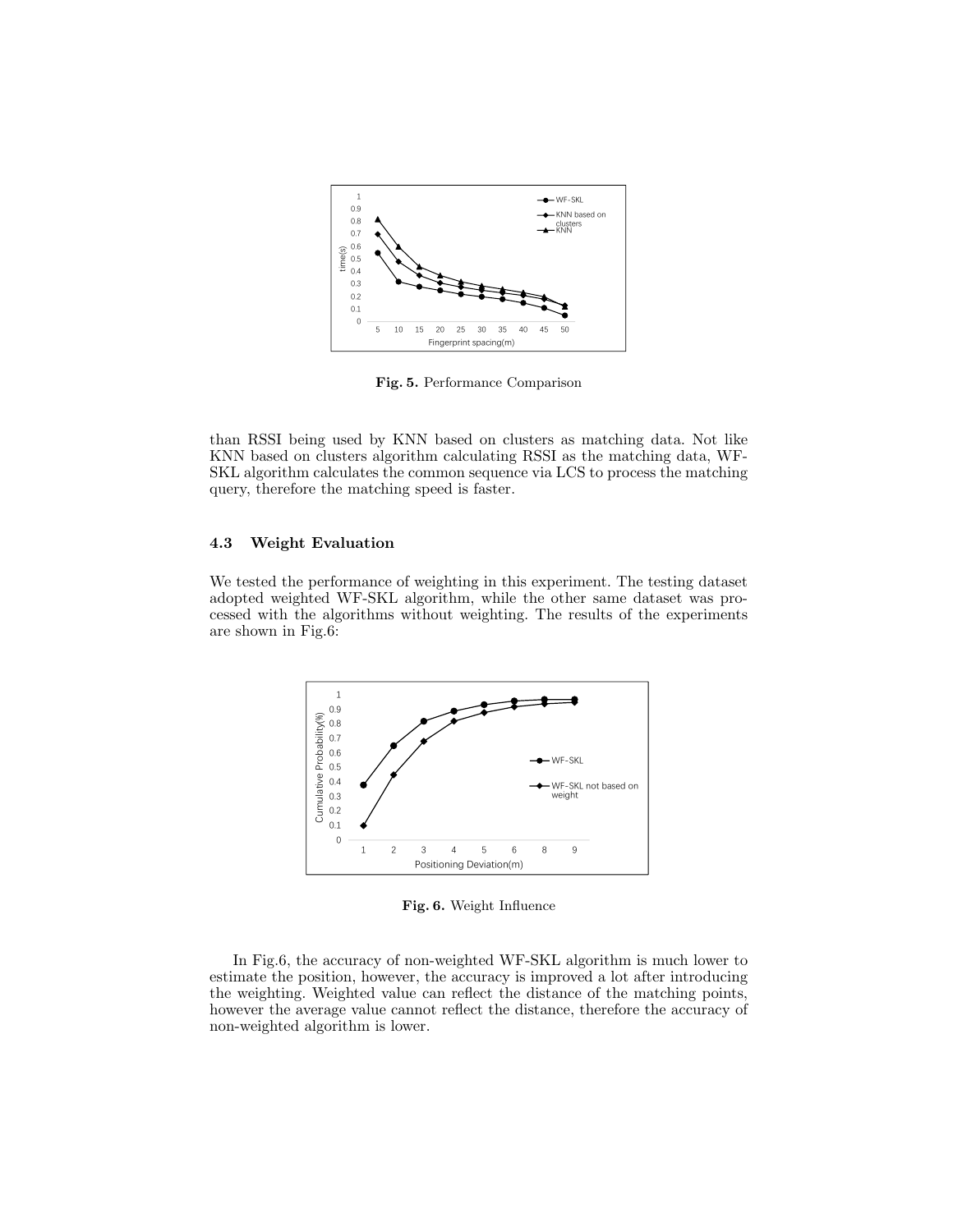

Fig. 5. Performance Comparison

than RSSI being used by KNN based on clusters as matching data. Not like KNN based on clusters algorithm calculating RSSI as the matching data, WF-SKL algorithm calculates the common sequence via LCS to process the matching query, therefore the matching speed is faster.

### 4.3 Weight Evaluation

We tested the performance of weighting in this experiment. The testing dataset adopted weighted WF-SKL algorithm, while the other same dataset was processed with the algorithms without weighting. The results of the experiments are shown in Fig.6:



Fig. 6. Weight Influence

In Fig.6, the accuracy of non-weighted WF-SKL algorithm is much lower to estimate the position, however, the accuracy is improved a lot after introducing the weighting. Weighted value can reflect the distance of the matching points, however the average value cannot reflect the distance, therefore the accuracy of non-weighted algorithm is lower.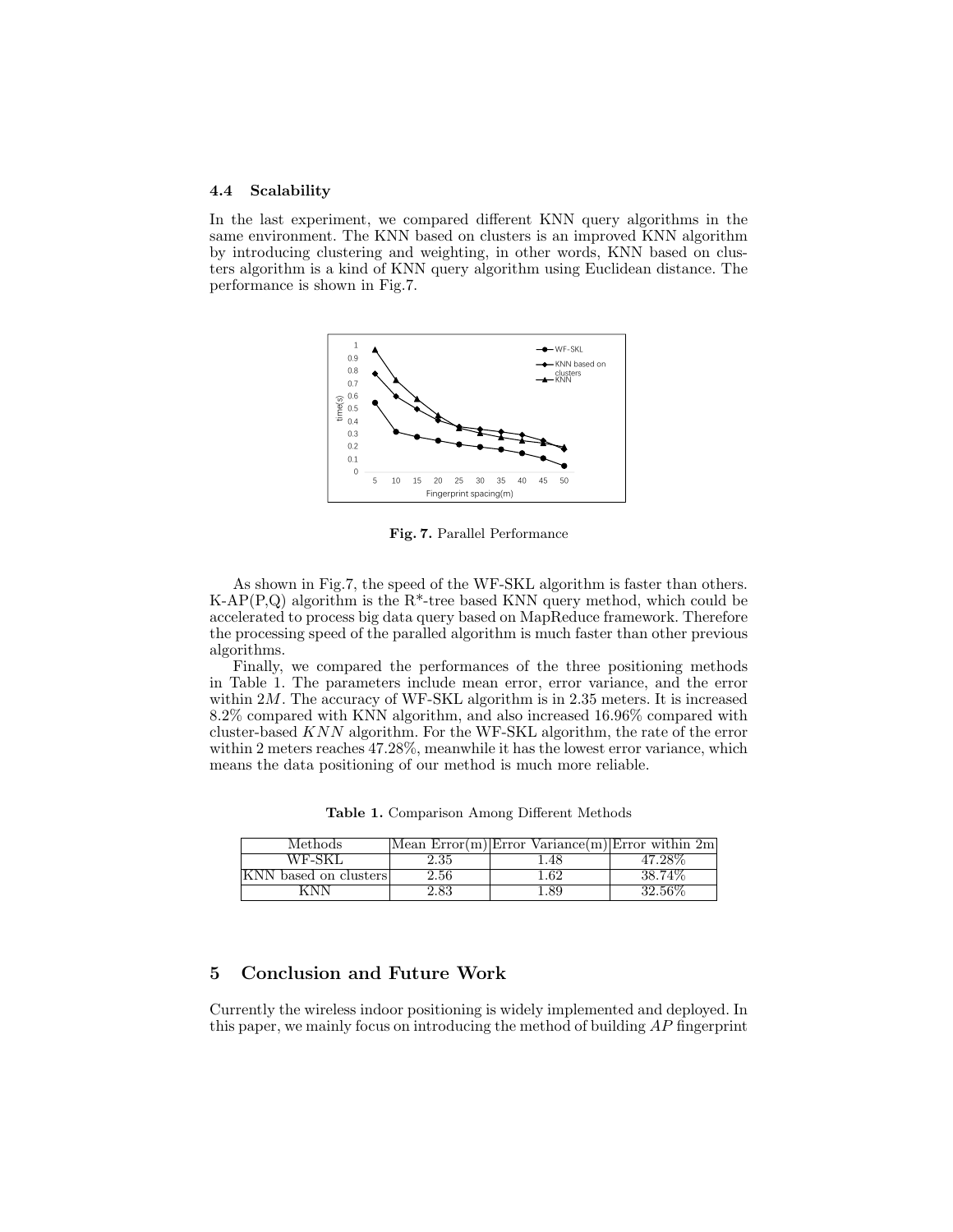#### 4.4 Scalability

In the last experiment, we compared different KNN query algorithms in the same environment. The KNN based on clusters is an improved KNN algorithm by introducing clustering and weighting, in other words, KNN based on clusters algorithm is a kind of KNN query algorithm using Euclidean distance. The performance is shown in Fig.7.



Fig. 7. Parallel Performance

As shown in Fig.7, the speed of the WF-SKL algorithm is faster than others. K-AP(P,Q) algorithm is the  $R^*$ -tree based KNN query method, which could be accelerated to process big data query based on MapReduce framework. Therefore the processing speed of the paralled algorithm is much faster than other previous algorithms.

Finally, we compared the performances of the three positioning methods in Table 1. The parameters include mean error, error variance, and the error within 2M. The accuracy of WF-SKL algorithm is in 2.35 meters. It is increased 8.2% compared with KNN algorithm, and also increased 16.96% compared with cluster-based KNN algorithm. For the WF-SKL algorithm, the rate of the error within 2 meters reaches 47.28%, meanwhile it has the lowest error variance, which means the data positioning of our method is much more reliable.

Table 1. Comparison Among Different Methods

| Methods               |          | Mean $Error(m) Error Variance(m) Error within 2m$ |           |
|-----------------------|----------|---------------------------------------------------|-----------|
| WF-SKL                | 2.35     | .48                                               | 47.28%    |
| KNN based on clusters | $2.56\,$ | .62                                               | 38.74%    |
|                       | 83       |                                                   | $32.56\%$ |

# 5 Conclusion and Future Work

Currently the wireless indoor positioning is widely implemented and deployed. In this paper, we mainly focus on introducing the method of building AP fingerprint